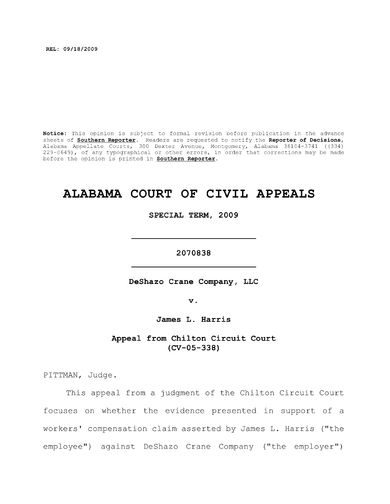**REL: 09/18/2009** 

**Notice:** This opinion is subject to formal revision before publication in the advance sheets of **Southern Reporter**. Readers are requested to notify the **Reporter of Decisions,**  Alabama Appellate Courts, 300 Dexter Avenue, Montgomery, Alabama 36104-3741 ((334) 229-0649), of any typographical or other errors, in order that corrections may be made before the opinion is printed in **Southern Reporter.** 

# **ALABAMA COURT OF CIVIL APPEALS**

**SPECIAL TERM, 2009** 

**2070838** 

**DeShazo Crane Company, LLC** 

**V,** 

**James L. Harris** 

**Appeal from Chilton Circuit Court (CV-05-338)** 

PITTMAN, Judge.

This appeal from a judgment of the Chilton Circuit Court focuses on whether the evidence presented in support of a workers' compensation claim asserted by James L. Harris ("the employee") against DeShazo Crane Company ("the employer")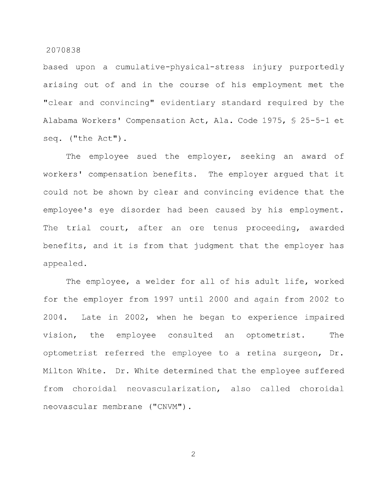based upon a cumulative-physical-stress injury purportedly arising out of and in the course of his employment met the "clear and convincing" evidentiary standard required by the Alabama Workers' Compensation Act, Ala. Code 1975, § 25-5-1 et seq. ("the Act").

The employee sued the employer, seeking an award of workers' compensation benefits. The employer argued that it could not be shown by clear and convincing evidence that the employee's eye disorder had been caused by his employment. The trial court, after an ore tenus proceeding, awarded benefits, and it is from that judgment that the employer has appealed.

The employee, a welder for all of his adult life, worked for the employer from 1997 until 2000 and again from 2002 to 2004. Late in 2002, when he began to experience impaired vision, the employee consulted an optometrist. The optometrist referred the employee to a retina surgeon. Dr. Milton White. Dr. White determined that the employee suffered from choroidal neovascularization, also called choroidal neovascular membrane ("CNVM").

 $\overline{2}$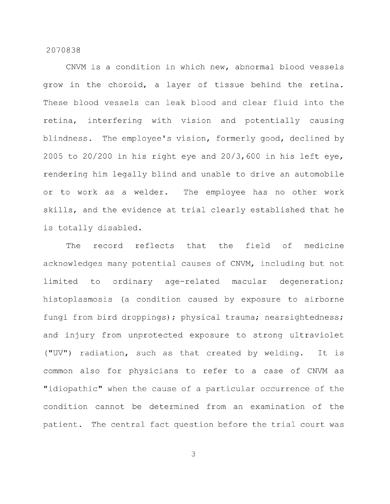CNVM is a condition in which new, abnormal blood vessels grow in the choroid, a layer of tissue behind the retina. These blood vessels can leak blood and clear fluid into the retina, interfering with vision and potentially causing blindness. The employee's vision, formerly good, declined by 2005 to 20/200 in his right eye and 20/3,600 in his left eye, rendering him legally blind and unable to drive an automobile or to work as a welder. The employee has no other work skills, and the evidence at trial clearly established that he is totally disabled.

The record reflects that the field of medicine acknowledges many potential causes of CNVM, including but not limited to ordinary age-related macular degeneration; histoplasmosis (a condition caused by exposure to airborne fungi from bird droppings); physical trauma; nearsightedness; and injury from unprotected exposure to strong ultraviolet ("UV") radiation, such as that created by welding. It is common also for physicians to refer to a case of CNVM as "idiopathic" when the cause of a particular occurrence of the condition cannot be determined from an examination of the patient. The central fact question before the trial court was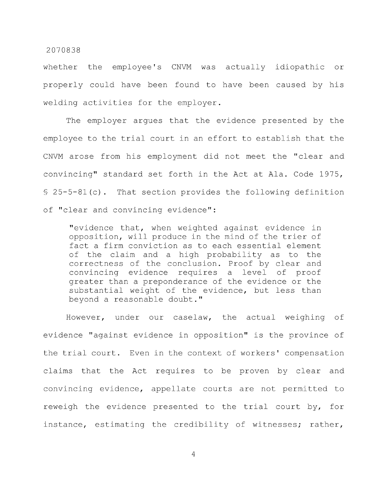whether the employee's CNVM was actually idiopathic or properly could have been found to have been caused by his welding activities for the employer.

The employer argues that the evidence presented by the employee to the trial court in an effort to establish that the CNVM arose from his employment did not meet the "clear and convincing" standard set forth in the Act at Ala. Code 1975, § 25-5-81 (c) . That section provides the following definition of "clear and convincing evidence":

"evidence that, when weighted against evidence in opposition, will produce in the mind of the trier of fact a firm conviction as to each essential element of the claim and a high probability as to the correctness of the conclusion. Proof by clear and convincing evidence requires a level of proof greater than a preponderance of the evidence or the substantial weight of the evidence, but less than beyond a reasonable doubt."

However, under our caselaw, the actual weighing of evidence "against evidence in opposition" is the province of the trial court. Even in the context of workers' compensation claims that the Act requires to be proven by clear and convincing evidence, appellate courts are not permitted to reweigh the evidence presented to the trial court by, for instance, estimating the credibility of witnesses; rather,

 $\overline{4}$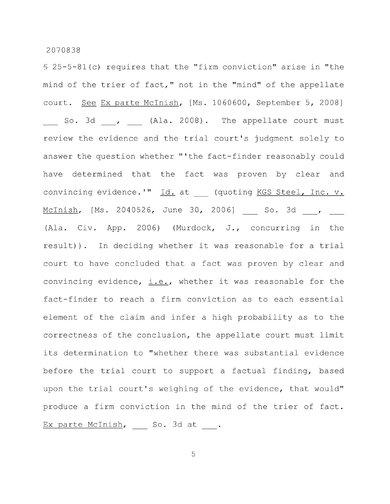§ 25-5-81 (c) requires that the "firm conviction" arise in "the mind of the trier of fact," not in the "mind" of the appellate court. See Ex parte Mclnish, [Ms. 1060600, September 5, 2008] So. 3d , (Ala. 2008). The appellate court must review the evidence and the trial court's judgment solely to answer the question whether "'the fact-finder reasonably could have determined that the fact was proven by clear and convincing evidence.'" Id. at (quoting KGS Steel, Inc. v. McInish, [Ms. 2040526, June 30, 2006] \_\_ So. 3d \_\_, \_\_ (Ala. Civ. App. 2006) (Murdock, J., concurring in the result)). In deciding whether it was reasonable for a trial court to have concluded that a fact was proven by clear and convincing evidence, i.e., whether it was reasonable for the fact-finder to reach a firm conviction as to each essential element of the claim and infer a high probability as to the correctness of the conclusion, the appellate court must limit its determination to "whether there was substantial evidence before the trial court to support a factual finding, based upon the trial court's weighing of the evidence, that would" produce a firm conviction in the mind of the trier of fact. Ex parte McInish, \_\_ So. 3d at \_\_.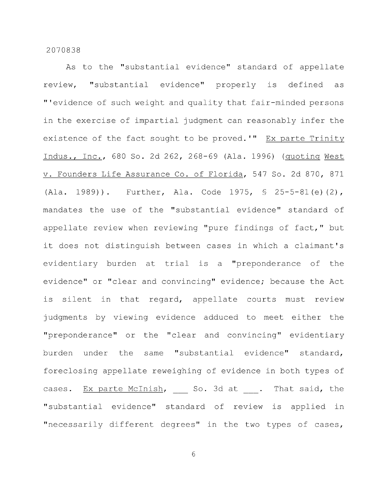As to the "substantial evidence" standard of appellate review, "substantial evidence" properly is defined as "'evidence of such weight and quality that fair-minded persons in the exercise of impartial judgment can reasonably infer the existence of the fact sought to be proved.'" Ex parte Trinity Indus., Inc., 680 So. 2d 262, 268-69 (Ala. 1996) (quoting West V. Founders Life Assurance Co. of Florida, 547 So. 2d 870, 871 (Ala. 1989)). Further, Ala. Code 1975, § 25-5-81 (e) (2), mandates the use of the "substantial evidence" standard of appellate review when reviewing "pure findings of fact," but it does not distinguish between cases in which a claimant's evidentiary burden at trial is a "preponderance of the evidence" or "clear and convincing" evidence; because the Act is silent in that regard, appellate courts must review judgments by viewing evidence adduced to meet either the "preponderance" or the "clear and convincing" evidentiary burden under the same "substantial evidence" standard, foreclosing appellate reweighing of evidence in both types of cases. Ex parte McInish, So. 3d at . That said, the "substantial evidence" standard of review is applied in "necessarily different degrees" in the two types of cases,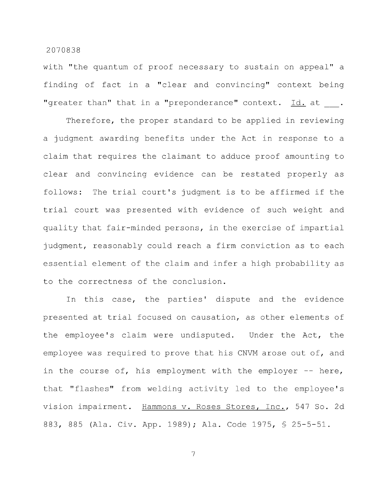with "the quantum of proof necessary to sustain on appeal" a finding of fact in a "clear and convincing" context being "greater than" that in a "preponderance" context. Id. at .

Therefore, the proper standard to be applied in reviewing a judgment awarding benefits under the Act in response to a claim that requires the claimant to adduce proof amounting to clear and convincing evidence can be restated properly as follows: The trial court's judgment is to be affirmed if the trial court was presented with evidence of such weight and quality that fair-minded persons, in the exercise of impartial judgment, reasonably could reach a firm conviction as to each essential element of the claim and infer a high probability as to the correctness of the conclusion.

In this case, the parties' dispute and the evidence presented at trial focused on causation, as other elements of the employee's claim were undisputed. Under the Act, the employee was required to prove that his CNVM arose out of, and in the course of, his employment with the employer -- here, that "flashes" from welding activity led to the employee's vision impairment. Hammons v. Roses Stores, Inc., 547 So. 2d 883, 885 (Ala. Civ. App. 1989); Ala. Code 1975, § 25-5-51.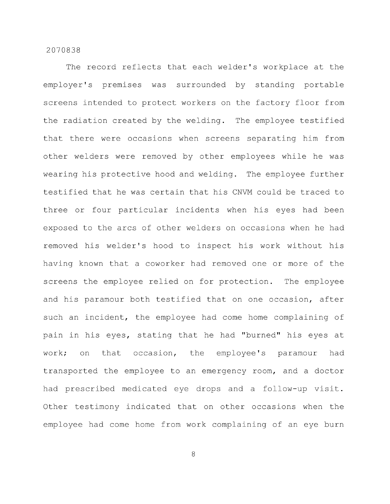The record reflects that each welder's workplace at the employer's premises was surrounded by standing portable screens intended to protect workers on the factory floor from the radiation created by the welding. The employee testified that there were occasions when screens separating him from other welders were removed by other employees while he was wearing his protective hood and welding. The employee further testified that he was certain that his CNVM could be traced to three or four particular incidents when his eyes had been exposed to the arcs of other welders on occasions when he had removed his welder's hood to inspect his work without his having known that a coworker had removed one or more of the screens the employee relied on for protection. The employee and his paramour both testified that on one occasion, after such an incident, the employee had come home complaining of pain in his eyes, stating that he had "burned" his eyes at work; on that occasion, the employee's paramour had transported the employee to an emergency room, and a doctor had prescribed medicated eye drops and a follow-up visit. Other testimony indicated that on other occasions when the employee had come home from work complaining of an eye burn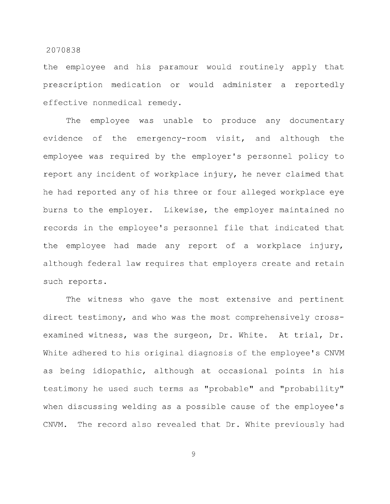the employee and his paramour would routinely apply that prescription medication or would administer a reportedly effective nonmedical remedy.

The employee was unable to produce any documentary evidence of the emergency-room visit, and although the employee was required by the employer's personnel policy to report any incident of workplace injury, he never claimed that he had reported any of his three or four alleged workplace eye burns to the employer. Likewise, the employer maintained no records in the employee's personnel file that indicated that the employee had made any report of a workplace injury, although federal law requires that employers create and retain such reports.

The witness who gave the most extensive and pertinent direct testimony, and who was the most comprehensively crossexamined witness, was the surgeon, Dr. White. At trial, Dr. White adhered to his original diagnosis of the employee's CNVM as being idiopathic, although at occasional points in his testimony he used such terms as "probable" and "probability" when discussing welding as a possible cause of the employee's CNVM. The record also revealed that Dr. White previously had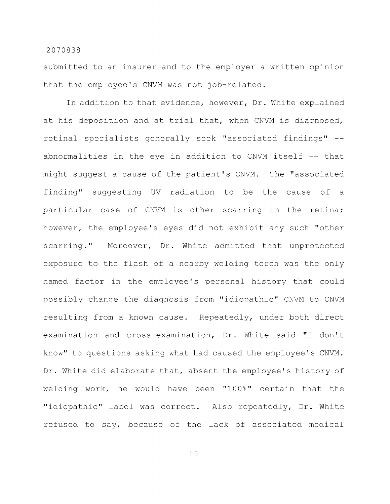submitted to an insurer and to the employer a written opinion that the employee's CNVM was not job-related.

In addition to that evidence, however. Dr. White explained at his deposition and at trial that, when CNVM is diagnosed, retinal specialists generally seek "associated findings" - abnormalities in the eye in addition to CNVM itself -- that might suggest a cause of the patient's CNVM. The "associated finding" suggesting UV radiation to be the cause of a particular case of CNVM is other scarring in the retina; however, the employee's eyes did not exhibit any such "other scarring." Moreover, Dr. White admitted that unprotected exposure to the flash of a nearby welding torch was the only named factor in the employee's personal history that could possibly change the diagnosis from "idiopathic" CNVM to CNVM resulting from a known cause. Repeatedly, under both direct examination and cross-examination. Dr. White said "I don't know" to questions asking what had caused the employee's CNVM. Dr. White did elaborate that, absent the employee's history of welding work, he would have been "100%" certain that the "idiopathic" label was correct. Also repeatedly. Dr. White refused to say, because of the lack of associated medical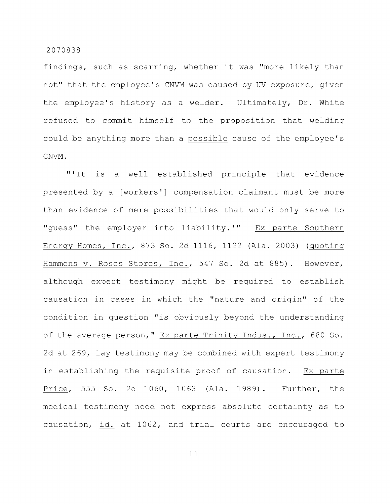findings, such as scarring, whether it was "more likely than not" that the employee's CNVM was caused by UV exposure, given the employee's history as a welder. Ultimately, Dr. White refused to commit himself to the proposition that welding could be anything more than a possible cause of the employee's CNVM.

"'It is a well established principle that evidence presented by a [workers'] compensation claimant must be more than evidence of mere possibilities that would only serve to "guess" the employer into liability.'" Ex parte Southern Energy Homes, Inc., 873 So. 2d 1116, 1122 (Ala. 2003) (quoting Hammons v. Roses Stores, Inc., 547 So. 2d at 885). However, although expert testimony might be required to establish causation in cases in which the "nature and origin" of the condition in question "is obviously beyond the understanding of the average person," Ex parte Trinity Indus., Inc., 680 So. 2d at 269, lay testimony may be combined with expert testimony in establishing the requisite proof of causation. Ex parte Price, 555 So. 2d 1060, 1063 (Ala. 1989). Further, the medical testimony need not express absolute certainty as to causation, id. at 1062, and trial courts are encouraged to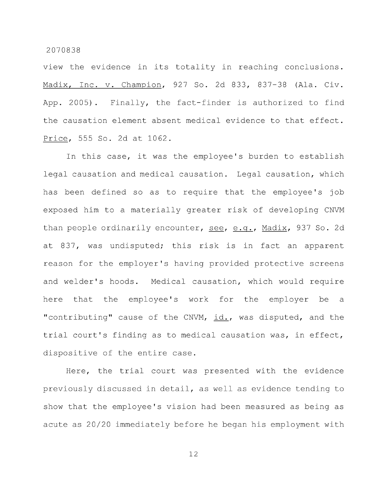view the evidence in its totality in reaching conclusions. Madix, Inc. v. Champion, 927 So. 2d 833, 837-38 (Ala. Civ. App. 2005) . Finally, the fact-finder is authorized to find the causation element absent medical evidence to that effect. Price, 555 So. 2d at 1062.

In this case, it was the employee's burden to establish legal causation and medical causation. Legal causation, which has been defined so as to require that the employee's job exposed him to a materially greater risk of developing CNVM than people ordinarily encounter, see, e.g., Madix, 937 So. 2d at 837, was undisputed; this risk is in fact an apparent reason for the employer's having provided protective screens and welder's hoods. Medical causation, which would require here that the employee's work for the employer be a "contributing" cause of the CNVM, id., was disputed, and the trial court's finding as to medical causation was, in effect, dispositive of the entire case.

Here, the trial court was presented with the evidence previously discussed in detail, as well as evidence tending to show that the employee's vision had been measured as being as acute as 20/20 immediately before he began his employment with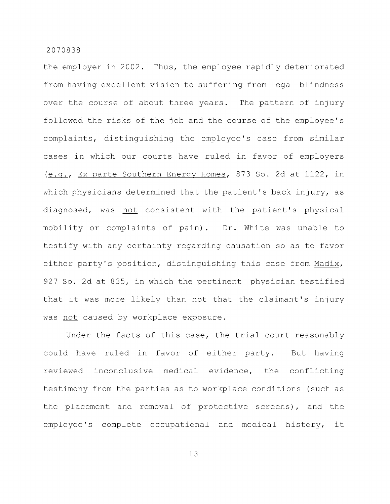the employer in 2002. Thus, the employee rapidly deteriorated from having excellent vision to suffering from legal blindness over the course of about three years. The pattern of injury followed the risks of the job and the course of the employee's complaints, distinguishing the employee's case from similar cases in which our courts have ruled in favor of employers (e.g.. Ex parte Southern Energy Homes, 873 So. 2d at 1122, in which physicians determined that the patient's back injury, as diagnosed, was not consistent with the patient's physical mobility or complaints of pain). Dr. White was unable to testify with any certainty regarding causation so as to favor either party's position, distinguishing this case from Madix, 927 So. 2d at 835, in which the pertinent physician testified that it was more likely than not that the claimant's injury was not caused by workplace exposure.

Under the facts of this case, the trial court reasonably could have ruled in favor of either party. But having reviewed inconclusive medical evidence, the conflicting testimony from the parties as to workplace conditions (such as the placement and removal of protective screens), and the employee's complete occupational and medical history, it